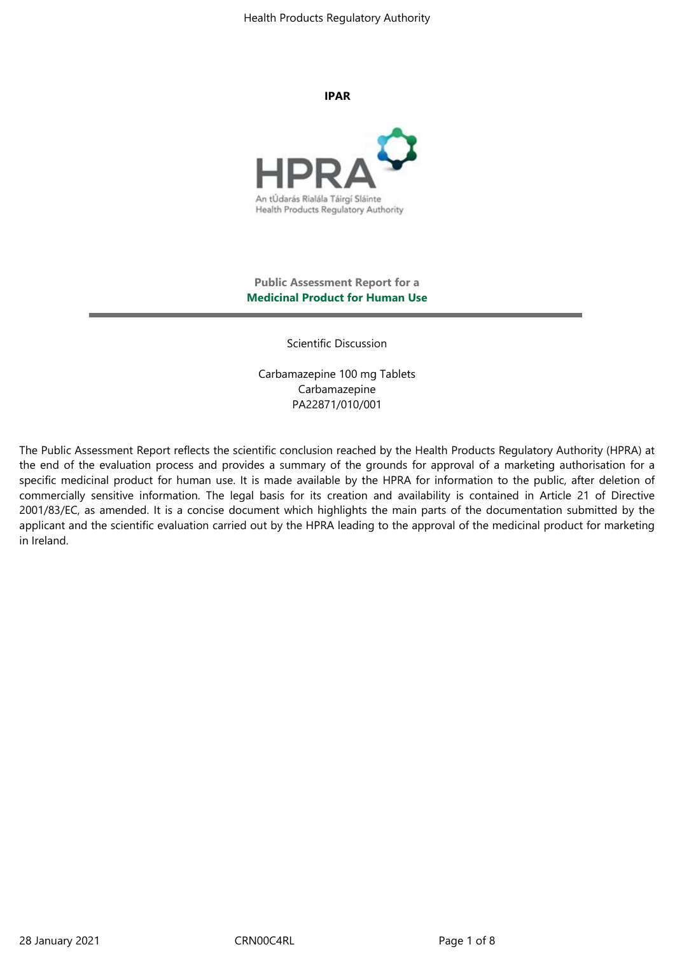Health Products Regulatory Authority

**IPAR**



# **Public Assessment Report for a Medicinal Product for Human Use**

Scientific Discussion

Carbamazepine 100 mg Tablets Carbamazepine PA22871/010/001

The Public Assessment Report reflects the scientific conclusion reached by the Health Products Regulatory Authority (HPRA) at the end of the evaluation process and provides a summary of the grounds for approval of a marketing authorisation for a specific medicinal product for human use. It is made available by the HPRA for information to the public, after deletion of commercially sensitive information. The legal basis for its creation and availability is contained in Article 21 of Directive 2001/83/EC, as amended. It is a concise document which highlights the main parts of the documentation submitted by the applicant and the scientific evaluation carried out by the HPRA leading to the approval of the medicinal product for marketing in Ireland.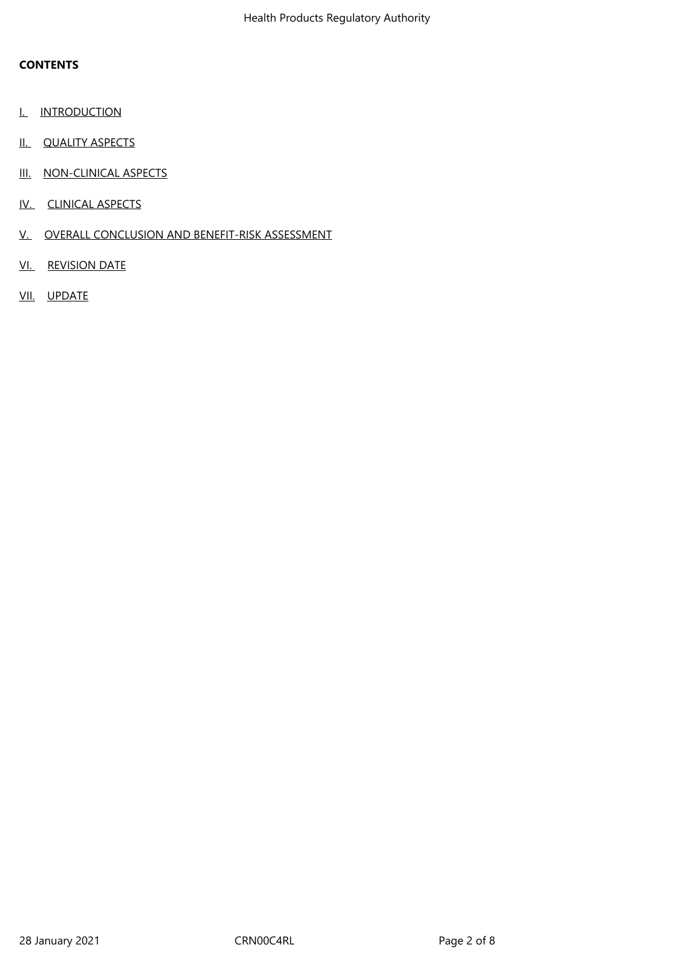# **CONTENTS**

- I. INTRODUCTION
- II. QUALITY ASPECTS
- III. NON-CLINICAL ASPECTS
- IV. CLINICAL ASPECTS
- V. OVERALL CONCLUSION AND BENEFIT-RISK ASSESSMENT
- VI. REVISION DATE
- VII. UPDATE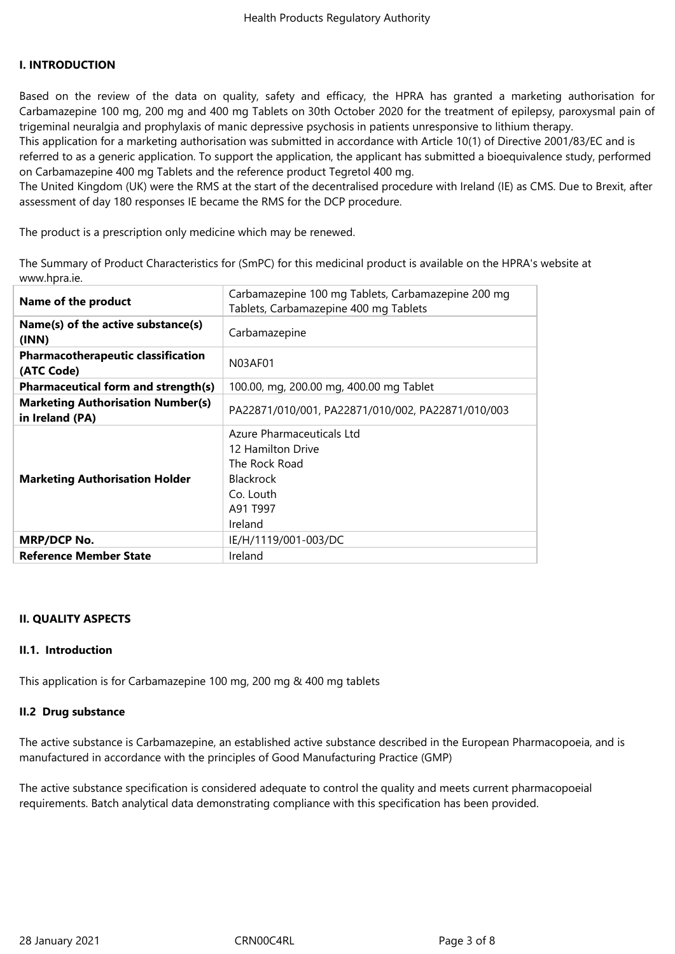### **I. INTRODUCTION**

Based on the review of the data on quality, safety and efficacy, the HPRA has granted a marketing authorisation for Carbamazepine 100 mg, 200 mg and 400 mg Tablets on 30th October 2020 for the treatment of epilepsy, paroxysmal pain of trigeminal neuralgia and prophylaxis of manic depressive psychosis in patients unresponsive to lithium therapy.

This application for a marketing authorisation was submitted in accordance with Article 10(1) of Directive 2001/83/EC and is referred to as a generic application. To support the application, the applicant has submitted a bioequivalence study, performed on Carbamazepine 400 mg Tablets and the reference product Tegretol 400 mg.

The United Kingdom (UK) were the RMS at the start of the decentralised procedure with Ireland (IE) as CMS. Due to Brexit, after assessment of day 180 responses IE became the RMS for the DCP procedure.

The product is a prescription only medicine which may be renewed.

The Summary of Product Characteristics for (SmPC) for this medicinal product is available on the HPRA's website at www.hpra.ie.

| Name of the product                                         | Carbamazepine 100 mg Tablets, Carbamazepine 200 mg<br>Tablets, Carbamazepine 400 mg Tablets                             |
|-------------------------------------------------------------|-------------------------------------------------------------------------------------------------------------------------|
| Name(s) of the active substance(s)<br>(INN)                 | Carbamazepine                                                                                                           |
| <b>Pharmacotherapeutic classification</b><br>(ATC Code)     | N03AF01                                                                                                                 |
| <b>Pharmaceutical form and strength(s)</b>                  | 100.00, mg, 200.00 mg, 400.00 mg Tablet                                                                                 |
| <b>Marketing Authorisation Number(s)</b><br>in Ireland (PA) | PA22871/010/001, PA22871/010/002, PA22871/010/003                                                                       |
| <b>Marketing Authorisation Holder</b>                       | Azure Pharmaceuticals Ltd<br>12 Hamilton Drive<br>The Rock Road<br><b>Blackrock</b><br>Co. Louth<br>A91 T997<br>Ireland |
| <b>MRP/DCP No.</b>                                          | IE/H/1119/001-003/DC                                                                                                    |
| <b>Reference Member State</b>                               | Ireland                                                                                                                 |

### **II. QUALITY ASPECTS**

### **II.1. Introduction**

This application is for Carbamazepine 100 mg, 200 mg & 400 mg tablets

#### **II.2 Drug substance**

The active substance is Carbamazepine, an established active substance described in the European Pharmacopoeia, and is manufactured in accordance with the principles of Good Manufacturing Practice (GMP)

The active substance specification is considered adequate to control the quality and meets current pharmacopoeial requirements. Batch analytical data demonstrating compliance with this specification has been provided.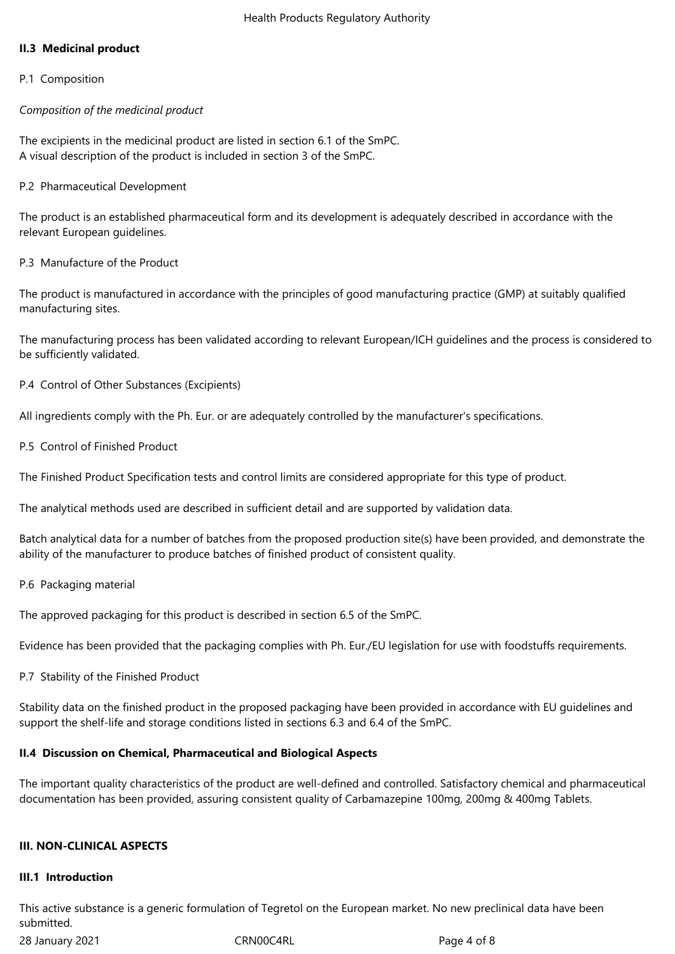# **II.3 Medicinal product**

### P.1 Composition

### *Composition of the medicinal product*

The excipients in the medicinal product are listed in section 6.1 of the SmPC. A visual description of the product is included in section 3 of the SmPC.

### P.2 Pharmaceutical Development

The product is an established pharmaceutical form and its development is adequately described in accordance with the relevant European guidelines.

## P.3 Manufacture of the Product

The product is manufactured in accordance with the principles of good manufacturing practice (GMP) at suitably qualified manufacturing sites.

The manufacturing process has been validated according to relevant European/ICH guidelines and the process is considered to be sufficiently validated.

P.4 Control of Other Substances (Excipients)

All ingredients comply with the Ph. Eur. or are adequately controlled by the manufacturer's specifications.

P.5 Control of Finished Product

The Finished Product Specification tests and control limits are considered appropriate for this type of product.

The analytical methods used are described in sufficient detail and are supported by validation data.

Batch analytical data for a number of batches from the proposed production site(s) have been provided, and demonstrate the ability of the manufacturer to produce batches of finished product of consistent quality.

P.6 Packaging material

The approved packaging for this product is described in section 6.5 of the SmPC.

Evidence has been provided that the packaging complies with Ph. Eur./EU legislation for use with foodstuffs requirements.

### P.7 Stability of the Finished Product

Stability data on the finished product in the proposed packaging have been provided in accordance with EU guidelines and support the shelf-life and storage conditions listed in sections 6.3 and 6.4 of the SmPC.

### **II.4 Discussion on Chemical, Pharmaceutical and Biological Aspects**

The important quality characteristics of the product are well-defined and controlled. Satisfactory chemical and pharmaceutical documentation has been provided, assuring consistent quality of Carbamazepine 100mg, 200mg & 400mg Tablets.

### **III. NON-CLINICAL ASPECTS**

#### **III.1 Introduction**

This active substance is a generic formulation of Tegretol on the European market. No new preclinical data have been submitted.

28 January 2021 CRN00C4RL Page 4 of 8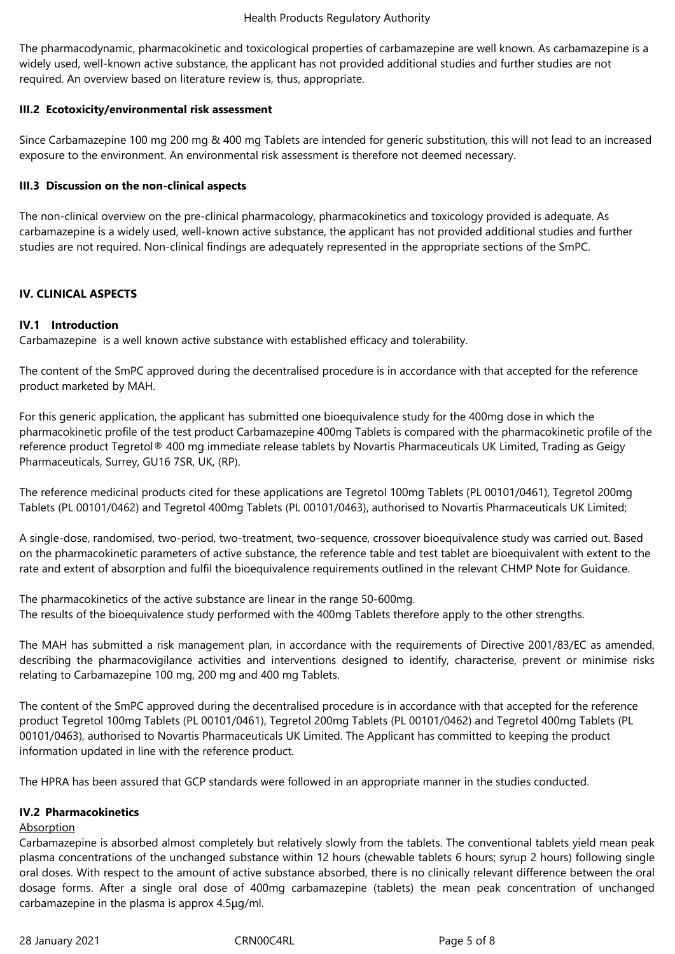The pharmacodynamic, pharmacokinetic and toxicological properties of carbamazepine are well known. As carbamazepine is a widely used, well-known active substance, the applicant has not provided additional studies and further studies are not required. An overview based on literature review is, thus, appropriate.

# **III.2 Ecotoxicity/environmental risk assessment**

Since Carbamazepine 100 mg 200 mg & 400 mg Tablets are intended for generic substitution, this will not lead to an increased exposure to the environment. An environmental risk assessment is therefore not deemed necessary.

## **III.3 Discussion on the non-clinical aspects**

The non-clinical overview on the pre-clinical pharmacology, pharmacokinetics and toxicology provided is adequate. As carbamazepine is a widely used, well-known active substance, the applicant has not provided additional studies and further studies are not required. Non-clinical findings are adequately represented in the appropriate sections of the SmPC.

# **IV. CLINICAL ASPECTS**

# **IV.1 Introduction**

Carbamazepine is a well known active substance with established efficacy and tolerability.

The content of the SmPC approved during the decentralised procedure is in accordance with that accepted for the reference product marketed by MAH.

For this generic application, the applicant has submitted one bioequivalence study for the 400mg dose in which the pharmacokinetic profile of the test product Carbamazepine 400mg Tablets is compared with the pharmacokinetic profile of the reference product Tegretol® 400 mg immediate release tablets by Novartis Pharmaceuticals UK Limited, Trading as Geigy Pharmaceuticals, Surrey, GU16 7SR, UK, (RP).

The reference medicinal products cited for these applications are Tegretol 100mg Tablets (PL 00101/0461), Tegretol 200mg Tablets (PL 00101/0462) and Tegretol 400mg Tablets (PL 00101/0463), authorised to Novartis Pharmaceuticals UK Limited;

A single-dose, randomised, two-period, two-treatment, two-sequence, crossover bioequivalence study was carried out. Based on the pharmacokinetic parameters of active substance, the reference table and test tablet are bioequivalent with extent to the rate and extent of absorption and fulfil the bioequivalence requirements outlined in the relevant CHMP Note for Guidance.

The pharmacokinetics of the active substance are linear in the range 50-600mg. The results of the bioequivalence study performed with the 400mg Tablets therefore apply to the other strengths.

The MAH has submitted a risk management plan, in accordance with the requirements of Directive 2001/83/EC as amended, describing the pharmacovigilance activities and interventions designed to identify, characterise, prevent or minimise risks relating to Carbamazepine 100 mg, 200 mg and 400 mg Tablets.

The content of the SmPC approved during the decentralised procedure is in accordance with that accepted for the reference product Tegretol 100mg Tablets (PL 00101/0461), Tegretol 200mg Tablets (PL 00101/0462) and Tegretol 400mg Tablets (PL 00101/0463), authorised to Novartis Pharmaceuticals UK Limited. The Applicant has committed to keeping the product information updated in line with the reference product.

The HPRA has been assured that GCP standards were followed in an appropriate manner in the studies conducted.

### **IV.2 Pharmacokinetics**

### Absorption

Carbamazepine is absorbed almost completely but relatively slowly from the tablets. The conventional tablets yield mean peak plasma concentrations of the unchanged substance within 12 hours (chewable tablets 6 hours; syrup 2 hours) following single oral doses. With respect to the amount of active substance absorbed, there is no clinically relevant difference between the oral dosage forms. After a single oral dose of 400mg carbamazepine (tablets) the mean peak concentration of unchanged carbamazepine in the plasma is approx 4.5μg/ml.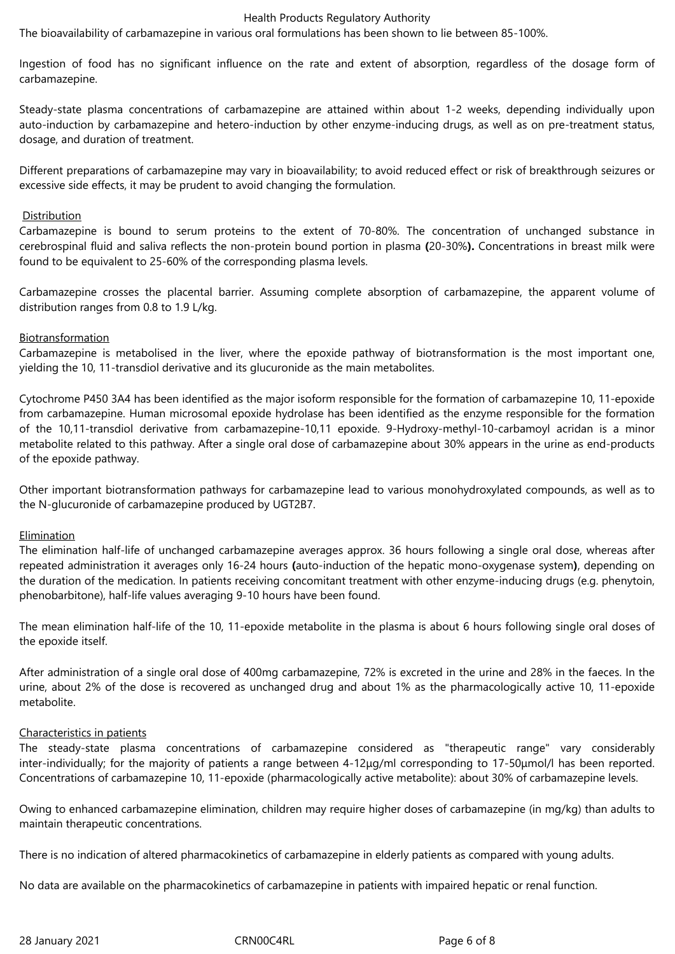#### Health Products Regulatory Authority

The bioavailability of carbamazepine in various oral formulations has been shown to lie between 85-100%.

Ingestion of food has no significant influence on the rate and extent of absorption, regardless of the dosage form of carbamazepine.

Steady-state plasma concentrations of carbamazepine are attained within about 1-2 weeks, depending individually upon auto-induction by carbamazepine and hetero-induction by other enzyme-inducing drugs, as well as on pre-treatment status, dosage, and duration of treatment.

Different preparations of carbamazepine may vary in bioavailability; to avoid reduced effect or risk of breakthrough seizures or excessive side effects, it may be prudent to avoid changing the formulation.

### **Distribution**

Carbamazepine is bound to serum proteins to the extent of 70-80%. The concentration of unchanged substance in cerebrospinal fluid and saliva reflects the non-protein bound portion in plasma **(**20-30%**).** Concentrations in breast milk were found to be equivalent to 25-60% of the corresponding plasma levels.

Carbamazepine crosses the placental barrier. Assuming complete absorption of carbamazepine, the apparent volume of distribution ranges from 0.8 to 1.9 L/kg.

# Biotransformation

Carbamazepine is metabolised in the liver, where the epoxide pathway of biotransformation is the most important one, yielding the 10, 11-transdiol derivative and its glucuronide as the main metabolites.

Cytochrome P450 3A4 has been identified as the major isoform responsible for the formation of carbamazepine 10, 11-epoxide from carbamazepine. Human microsomal epoxide hydrolase has been identified as the enzyme responsible for the formation of the 10,11-transdiol derivative from carbamazepine-10,11 epoxide. 9-Hydroxy-methyl-10-carbamoyl acridan is a minor metabolite related to this pathway. After a single oral dose of carbamazepine about 30% appears in the urine as end-products of the epoxide pathway.

Other important biotransformation pathways for carbamazepine lead to various monohydroxylated compounds, as well as to the N-glucuronide of carbamazepine produced by UGT2B7.

### Elimination

The elimination half-life of unchanged carbamazepine averages approx. 36 hours following a single oral dose, whereas after repeated administration it averages only 16-24 hours **(**auto-induction of the hepatic mono-oxygenase system**)**, depending on the duration of the medication. In patients receiving concomitant treatment with other enzyme-inducing drugs (e.g. phenytoin, phenobarbitone), half-life values averaging 9-10 hours have been found.

The mean elimination half-life of the 10, 11-epoxide metabolite in the plasma is about 6 hours following single oral doses of the epoxide itself.

After administration of a single oral dose of 400mg carbamazepine, 72% is excreted in the urine and 28% in the faeces. In the urine, about 2% of the dose is recovered as unchanged drug and about 1% as the pharmacologically active 10, 11-epoxide metabolite.

### Characteristics in patients

The steady-state plasma concentrations of carbamazepine considered as "therapeutic range" vary considerably inter-individually; for the majority of patients a range between 4-12μg/ml corresponding to 17-50μmol/l has been reported. Concentrations of carbamazepine 10, 11-epoxide (pharmacologically active metabolite): about 30% of carbamazepine levels.

Owing to enhanced carbamazepine elimination, children may require higher doses of carbamazepine (in mg/kg) than adults to maintain therapeutic concentrations.

There is no indication of altered pharmacokinetics of carbamazepine in elderly patients as compared with young adults.

No data are available on the pharmacokinetics of carbamazepine in patients with impaired hepatic or renal function.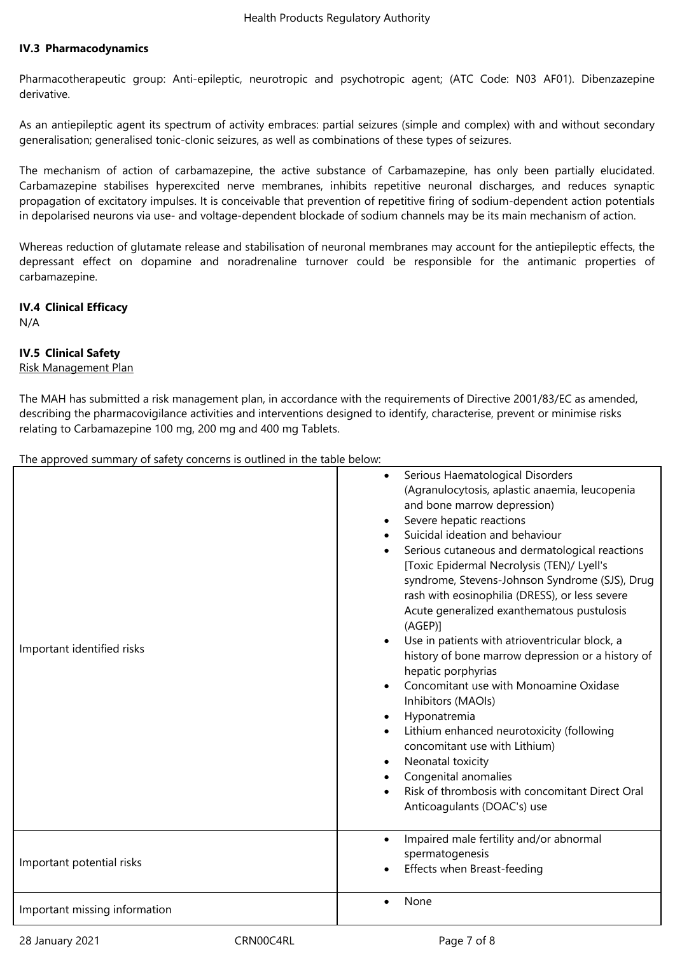### **IV.3 Pharmacodynamics**

Pharmacotherapeutic group: Anti-epileptic, neurotropic and psychotropic agent; (ATC Code: N03 AF01). Dibenzazepine derivative.

As an antiepileptic agent its spectrum of activity embraces: partial seizures (simple and complex) with and without secondary generalisation; generalised tonic-clonic seizures, as well as combinations of these types of seizures.

The mechanism of action of carbamazepine, the active substance of Carbamazepine, has only been partially elucidated. Carbamazepine stabilises hyperexcited nerve membranes, inhibits repetitive neuronal discharges, and reduces synaptic propagation of excitatory impulses. It is conceivable that prevention of repetitive firing of sodium-dependent action potentials in depolarised neurons via use- and voltage-dependent blockade of sodium channels may be its main mechanism of action.

Whereas reduction of glutamate release and stabilisation of neuronal membranes may account for the antiepileptic effects, the depressant effect on dopamine and noradrenaline turnover could be responsible for the antimanic properties of carbamazepine.

# **IV.4 Clinical Efficacy**

N/A

# **IV.5 Clinical Safety**

### Risk Management Plan

The MAH has submitted a risk management plan, in accordance with the requirements of Directive 2001/83/EC as amended, describing the pharmacovigilance activities and interventions designed to identify, characterise, prevent or minimise risks relating to Carbamazepine 100 mg, 200 mg and 400 mg Tablets.

The approved summary of safety concerns is outlined in the table below:

| Important identified risks    | Serious Haematological Disorders<br>(Agranulocytosis, aplastic anaemia, leucopenia<br>and bone marrow depression)<br>Severe hepatic reactions<br>Suicidal ideation and behaviour<br>Serious cutaneous and dermatological reactions<br>[Toxic Epidermal Necrolysis (TEN)/ Lyell's<br>syndrome, Stevens-Johnson Syndrome (SJS), Drug<br>rash with eosinophilia (DRESS), or less severe<br>Acute generalized exanthematous pustulosis<br>$(AGEP)$ ]<br>Use in patients with atrioventricular block, a<br>history of bone marrow depression or a history of<br>hepatic porphyrias<br>Concomitant use with Monoamine Oxidase<br>Inhibitors (MAOIs)<br>Hyponatremia<br>Lithium enhanced neurotoxicity (following<br>concomitant use with Lithium)<br>Neonatal toxicity<br>$\bullet$<br>Congenital anomalies<br>Risk of thrombosis with concomitant Direct Oral<br>$\bullet$<br>Anticoagulants (DOAC's) use |
|-------------------------------|------------------------------------------------------------------------------------------------------------------------------------------------------------------------------------------------------------------------------------------------------------------------------------------------------------------------------------------------------------------------------------------------------------------------------------------------------------------------------------------------------------------------------------------------------------------------------------------------------------------------------------------------------------------------------------------------------------------------------------------------------------------------------------------------------------------------------------------------------------------------------------------------------|
|                               | Impaired male fertility and/or abnormal<br>$\bullet$                                                                                                                                                                                                                                                                                                                                                                                                                                                                                                                                                                                                                                                                                                                                                                                                                                                 |
| Important potential risks     | spermatogenesis<br>Effects when Breast-feeding                                                                                                                                                                                                                                                                                                                                                                                                                                                                                                                                                                                                                                                                                                                                                                                                                                                       |
| Important missing information | None                                                                                                                                                                                                                                                                                                                                                                                                                                                                                                                                                                                                                                                                                                                                                                                                                                                                                                 |

28 January 2021 CRN00C4RL Page 7 of 8